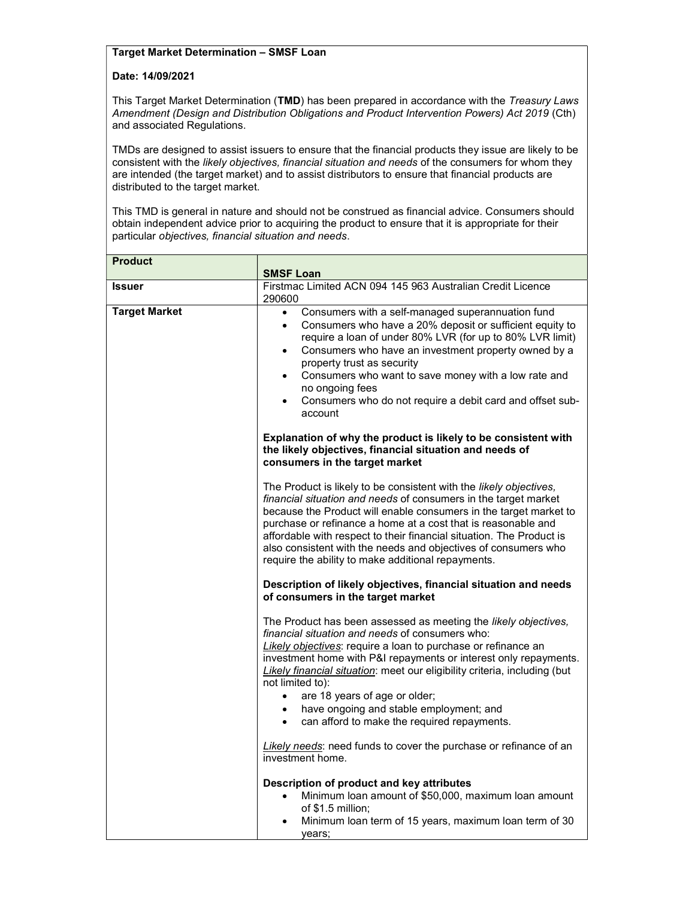## Target Market Determination – SMSF Loan

## Date: 14/09/2021

This Target Market Determination (TMD) has been prepared in accordance with the Treasury Laws Amendment (Design and Distribution Obligations and Product Intervention Powers) Act 2019 (Cth) and associated Regulations.

TMDs are designed to assist issuers to ensure that the financial products they issue are likely to be consistent with the likely objectives, financial situation and needs of the consumers for whom they are intended (the target market) and to assist distributors to ensure that financial products are distributed to the target market.

This TMD is general in nature and should not be construed as financial advice. Consumers should obtain independent advice prior to acquiring the product to ensure that it is appropriate for their particular objectives, financial situation and needs.

| <b>Product</b>       |                                                                                                                                                                                                                                                                                                                                                                                                                                                                                                                            |
|----------------------|----------------------------------------------------------------------------------------------------------------------------------------------------------------------------------------------------------------------------------------------------------------------------------------------------------------------------------------------------------------------------------------------------------------------------------------------------------------------------------------------------------------------------|
|                      | <b>SMSF Loan</b>                                                                                                                                                                                                                                                                                                                                                                                                                                                                                                           |
| <b>Issuer</b>        | Firstmac Limited ACN 094 145 963 Australian Credit Licence<br>290600                                                                                                                                                                                                                                                                                                                                                                                                                                                       |
| <b>Target Market</b> | Consumers with a self-managed superannuation fund<br>$\bullet$<br>Consumers who have a 20% deposit or sufficient equity to<br>$\bullet$<br>require a loan of under 80% LVR (for up to 80% LVR limit)<br>Consumers who have an investment property owned by a<br>$\bullet$<br>property trust as security<br>Consumers who want to save money with a low rate and<br>$\bullet$<br>no ongoing fees<br>Consumers who do not require a debit card and offset sub-<br>$\bullet$<br>account                                       |
|                      | Explanation of why the product is likely to be consistent with<br>the likely objectives, financial situation and needs of<br>consumers in the target market                                                                                                                                                                                                                                                                                                                                                                |
|                      | The Product is likely to be consistent with the likely objectives,<br>financial situation and needs of consumers in the target market<br>because the Product will enable consumers in the target market to<br>purchase or refinance a home at a cost that is reasonable and<br>affordable with respect to their financial situation. The Product is<br>also consistent with the needs and objectives of consumers who<br>require the ability to make additional repayments.                                                |
|                      | Description of likely objectives, financial situation and needs<br>of consumers in the target market                                                                                                                                                                                                                                                                                                                                                                                                                       |
|                      | The Product has been assessed as meeting the likely objectives,<br>financial situation and needs of consumers who:<br>Likely objectives: require a loan to purchase or refinance an<br>investment home with P&I repayments or interest only repayments.<br>Likely financial situation: meet our eligibility criteria, including (but<br>not limited to):<br>are 18 years of age or older;<br>$\bullet$<br>have ongoing and stable employment; and<br>$\bullet$<br>can afford to make the required repayments.<br>$\bullet$ |
|                      | Likely needs: need funds to cover the purchase or refinance of an<br>investment home.                                                                                                                                                                                                                                                                                                                                                                                                                                      |
|                      | Description of product and key attributes<br>Minimum loan amount of \$50,000, maximum loan amount<br>$\bullet$<br>of $$1.5$ million;<br>Minimum loan term of 15 years, maximum loan term of 30<br>years;                                                                                                                                                                                                                                                                                                                   |